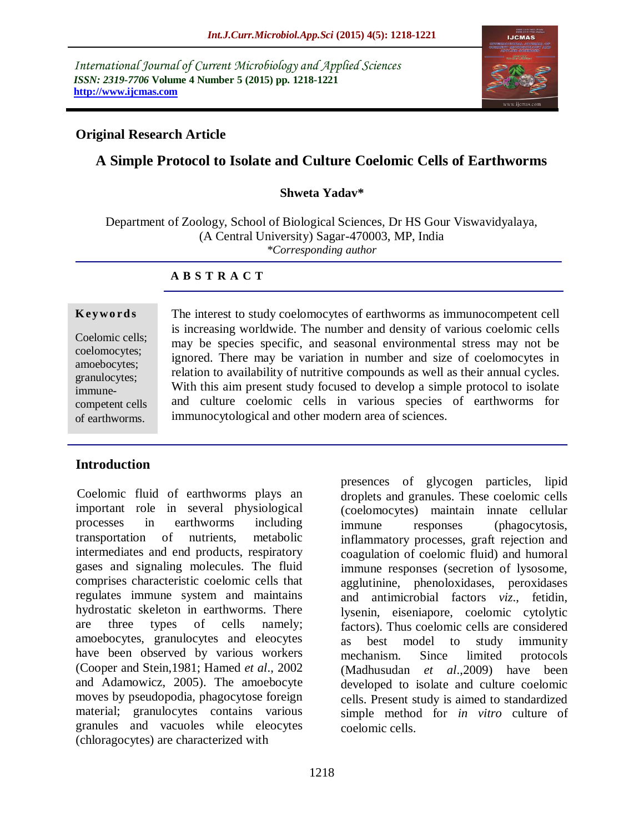*International Journal of Current Microbiology and Applied Sciences ISSN: 2319-7706* **Volume 4 Number 5 (2015) pp. 1218-1221 http://www.ijcmas.com**



#### **Original Research Article**

# **A Simple Protocol to Isolate and Culture Coelomic Cells of Earthworms**

#### **Shweta Yadav\***

Department of Zoology, School of Biological Sciences, Dr HS Gour Viswavidyalaya, (A Central University) Sagar-470003, MP, India *\*Corresponding author*

#### **A B S T R A C T**

#### **K ey w o rd s**

Coelomic cells; coelomocytes; amoebocytes; granulocytes; immunecompetent cells of earthworms.

The interest to study coelomocytes of earthworms as immunocompetent cell is increasing worldwide. The number and density of various coelomic cells may be species specific, and seasonal environmental stress may not be ignored. There may be variation in number and size of coelomocytes in relation to availability of nutritive compounds as well as their annual cycles. With this aim present study focused to develop a simple protocol to isolate and culture coelomic cells in various species of earthworms for immunocytological and other modern area of sciences.

#### **Introduction**

 Coelomic fluid of earthworms plays an important role in several physiological processes in earthworms including transportation of nutrients, metabolic intermediates and end products, respiratory gases and signaling molecules. The fluid comprises characteristic coelomic cells that regulates immune system and maintains hydrostatic skeleton in earthworms. There are three types of cells namely; amoebocytes, granulocytes and eleocytes have been observed by various workers (Cooper and Stein,1981; Hamed *et al*., 2002 and Adamowicz, 2005). The amoebocyte moves by pseudopodia, phagocytose foreign material; granulocytes contains various granules and vacuoles while eleocytes (chloragocytes) are characterized with

presences of glycogen particles, lipid droplets and granules. These coelomic cells (coelomocytes) maintain innate cellular immune responses (phagocytosis, inflammatory processes, graft rejection and coagulation of coelomic fluid) and humoral immune responses (secretion of lysosome, agglutinine, phenoloxidases, peroxidases and antimicrobial factors *viz*., fetidin, lysenin, eiseniapore, coelomic cytolytic factors). Thus coelomic cells are considered as best model to study immunity mechanism. Since limited protocols (Madhusudan *et al*.,2009) have been developed to isolate and culture coelomic cells. Present study is aimed to standardized simple method for *in vitro* culture of coelomic cells.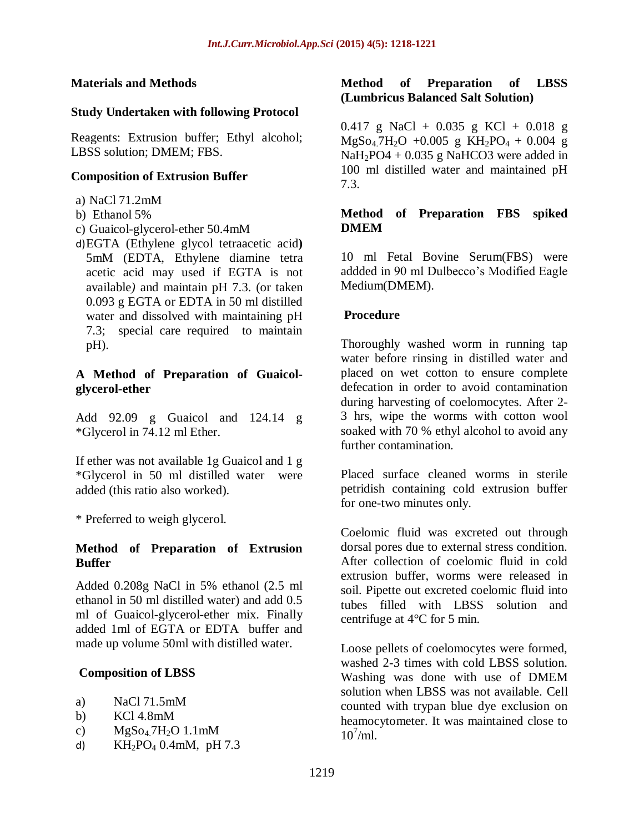#### **Materials and Methods**

#### **Study Undertaken with following Protocol**

Reagents: Extrusion buffer; Ethyl alcohol; LBSS solution; DMEM; FBS.

#### **Composition of Extrusion Buffer**

- a) NaCl 71.2mM
- b) Ethanol 5%
- c) Guaicol-glycerol-ether 50.4mM
- d)EGTA (Ethylene glycol tetraacetic acid**)** 5mM (EDTA, Ethylene diamine tetra acetic acid may used if EGTA is not available*)* and maintain pH 7.3. (or taken 0.093 g EGTA or EDTA in 50 ml distilled water and dissolved with maintaining pH 7.3; special care required to maintain pH).

#### **A Method of Preparation of Guaicolglycerol-ether**

Add 92.09 g Guaicol and 124.14 g \*Glycerol in 74.12 ml Ether.

If ether was not available 1g Guaicol and 1 g \*Glycerol in 50 ml distilled water were added (this ratio also worked).

\* Preferred to weigh glycerol.

# **Method of Preparation of Extrusion Buffer**

Added 0.208g NaCl in 5% ethanol (2.5 ml ethanol in 50 ml distilled water) and add 0.5 ml of Guaicol-glycerol-ether mix. Finally added 1ml of EGTA or EDTA buffer and made up volume 50ml with distilled water.

# **Composition of LBSS**

- a) NaCl 71.5mM
- b) KCl 4.8mM
- c)  $MgSo<sub>4</sub>7H<sub>2</sub>O1.1mM$
- d)  $KH_2PO_4 \, 0.4 \, \text{mM}$ , pH 7.3

#### **Method of Preparation of LBSS (Lumbricus Balanced Salt Solution)**

0.417 g NaCl + 0.035 g KCl + 0.018 g  $MgSo<sub>4</sub>7H<sub>2</sub>O +0.005 g KH<sub>2</sub>PO<sub>4</sub> + 0.004 g$  $NaH<sub>2</sub>PO4 + 0.035$  g NaHCO3 were added in 100 ml distilled water and maintained pH 7.3.

#### **Method of Preparation FBS spiked DMEM**

10 ml Fetal Bovine Serum(FBS) were addded in 90 ml Dulbecco's Modified Eagle Medium(DMEM).

# **Procedure**

Thoroughly washed worm in running tap water before rinsing in distilled water and placed on wet cotton to ensure complete defecation in order to avoid contamination during harvesting of coelomocytes. After 2- 3 hrs, wipe the worms with cotton wool soaked with 70 % ethyl alcohol to avoid any further contamination.

Placed surface cleaned worms in sterile petridish containing cold extrusion buffer for one-two minutes only.

Coelomic fluid was excreted out through dorsal pores due to external stress condition. After collection of coelomic fluid in cold extrusion buffer, worms were released in soil. Pipette out excreted coelomic fluid into tubes filled with LBSS solution and centrifuge at 4°C for 5 min.

Loose pellets of coelomocytes were formed, washed 2-3 times with cold LBSS solution. Washing was done with use of DMEM solution when LBSS was not available. Cell counted with trypan blue dye exclusion on heamocytometer. It was maintained close to  $10^{7}$ /ml.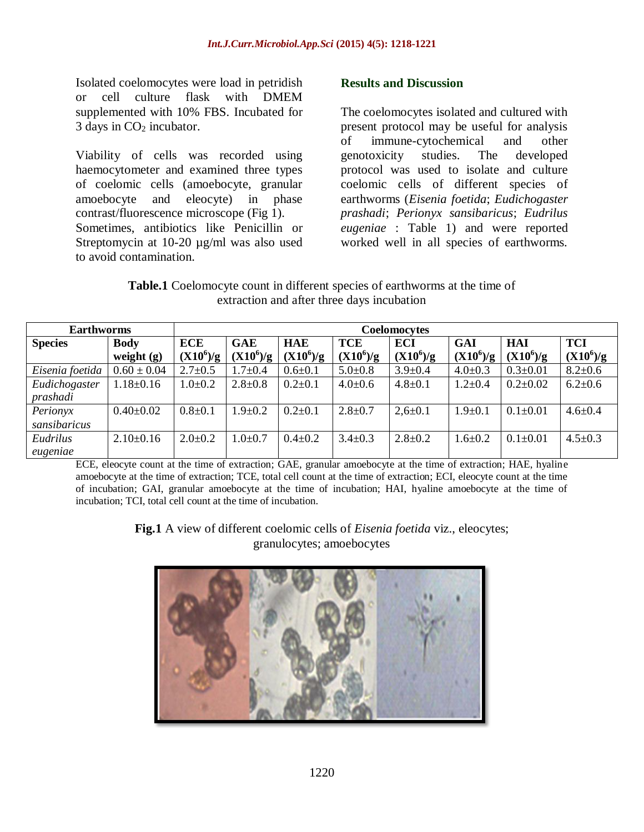Isolated coelomocytes were load in petridish or cell culture flask with DMEM supplemented with 10% FBS. Incubated for 3 days in  $CO<sub>2</sub>$  incubator.

Viability of cells was recorded using haemocytometer and examined three types of coelomic cells (amoebocyte, granular amoebocyte and eleocyte) in phase contrast/fluorescence microscope (Fig 1). Sometimes, antibiotics like Penicillin or Streptomycin at 10-20 µg/ml was also used to avoid contamination.

#### **Results and Discussion**

The coelomocytes isolated and cultured with present protocol may be useful for analysis of immune-cytochemical and other genotoxicity studies. The developed protocol was used to isolate and culture coelomic cells of different species of earthworms (*Eisenia foetida*; *Eudichogaster prashadi*; *Perionyx sansibaricus*; *Eudrilus eugeniae* : Table 1) and were reported worked well in all species of earthworms.

**Table.1** Coelomocyte count in different species of earthworms at the time of extraction and after three days incubation

| <b>Earthworms</b>         |                             | Coelomocytes              |                           |                           |                    |                    |                    |                           |                           |
|---------------------------|-----------------------------|---------------------------|---------------------------|---------------------------|--------------------|--------------------|--------------------|---------------------------|---------------------------|
| <b>Species</b>            | <b>Body</b><br>weight $(g)$ | <b>ECE</b><br>$(X10^6)/g$ | <b>GAE</b><br>$(X10^6)/g$ | <b>HAE</b><br>$(X10^6)/g$ | TCE<br>$(X10^6)/g$ | ECI<br>$(X10^6)/g$ | GAI<br>$(X10^6)/g$ | <b>HAI</b><br>$(X10^6)/g$ | <b>TCI</b><br>$(X10^6)/g$ |
| Eisenia foetida           | $0.60 \pm 0.04$             | $2.7 \pm 0.5$             | .7 $\pm$ 0.4              | $0.6 + 0.1$               | $5.0 \pm 0.8$      | $3.9 \pm 0.4$      | $4.0 \pm 0.3$      | $0.3 \pm 0.01$            | $8.2 \pm 0.6$             |
| Eudichogaster<br>prashadi | $1.18 \pm 0.16$             | $1.0 \pm 0.2$             | $2.8 \pm 0.8$             | $0.2{\pm}0.1$             | $4.0 \pm 0.6$      | $4.8 \pm 0.1$      | $1.2 \pm 0.4$      | $0.2 \pm 0.02$            | $6.2 \pm 0.6$             |
| Perionyx<br>sansibaricus  | $0.40 \pm 0.02$             | $0.8 + 0.1$               | $.9 \pm 0.2$              | $0.2{\pm}0.1$             | $2.8 \pm 0.7$      | $2,6 \pm 0.1$      | $1.9 + 0.1$        | $0.1 \pm 0.01$            | $4.6 \pm 0.4$             |
| Eudrilus<br>eugeniae      | $2.10\pm0.16$               | $2.0 \pm 0.2$             | $.0 \pm 0.7$              | $0.4 \pm 0.2$             | $3.4 \pm 0.3$      | $2.8 \pm 0.2$      | $1.6 + 0.2$        | $0.1 \pm 0.01$            | $4.5 \pm 0.3$             |

ECE, eleocyte count at the time of extraction; GAE, granular amoebocyte at the time of extraction; HAE, hyaline amoebocyte at the time of extraction; TCE, total cell count at the time of extraction; ECI, eleocyte count at the time of incubation; GAI, granular amoebocyte at the time of incubation; HAI, hyaline amoebocyte at the time of incubation; TCI, total cell count at the time of incubation.

> **Fig.1** A view of different coelomic cells of *Eisenia foetida* viz., eleocytes; granulocytes; amoebocytes